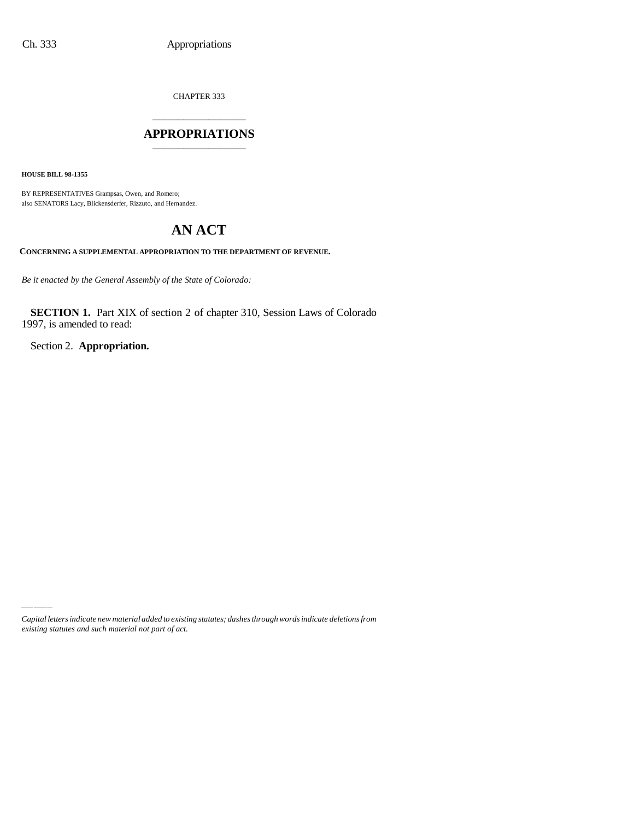CHAPTER 333

# \_\_\_\_\_\_\_\_\_\_\_\_\_\_\_ **APPROPRIATIONS** \_\_\_\_\_\_\_\_\_\_\_\_\_\_\_

**HOUSE BILL 98-1355**

BY REPRESENTATIVES Grampsas, Owen, and Romero; also SENATORS Lacy, Blickensderfer, Rizzuto, and Hernandez.

# **AN ACT**

**CONCERNING A SUPPLEMENTAL APPROPRIATION TO THE DEPARTMENT OF REVENUE.**

*Be it enacted by the General Assembly of the State of Colorado:*

**SECTION 1.** Part XIX of section 2 of chapter 310, Session Laws of Colorado 1997, is amended to read:

Section 2. **Appropriation.**

*Capital letters indicate new material added to existing statutes; dashes through words indicate deletions from existing statutes and such material not part of act.*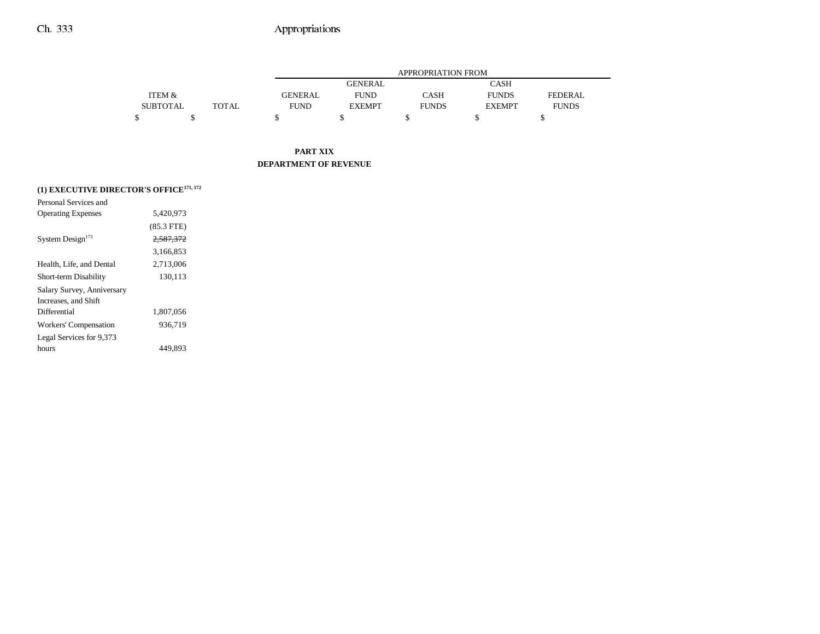|                   |       |                | <b>APPROPRIATION FROM</b> |              |               |                |  |  |  |
|-------------------|-------|----------------|---------------------------|--------------|---------------|----------------|--|--|--|
|                   |       |                | <b>GENERAL</b>            |              | CASH          |                |  |  |  |
| <b>ITEM &amp;</b> |       | <b>GENERAL</b> | <b>FUND</b>               | CASH         | <b>FUNDS</b>  | <b>FEDERAL</b> |  |  |  |
| <b>SUBTOTAL</b>   | TOTAL | <b>FUND</b>    | <b>EXEMPT</b>             | <b>FUNDS</b> | <b>EXEMPT</b> | <b>FUNDS</b>   |  |  |  |
|                   |       |                |                           |              |               |                |  |  |  |

#### **PART XIX DEPARTMENT OF REVENUE**

|  |  | (1) EXECUTIVE DIRECTOR'S OFFICE <sup>171, 172</sup> |  |
|--|--|-----------------------------------------------------|--|
|  |  |                                                     |  |

| 5.420.973    |  |
|--------------|--|
| $(85.3$ FTE) |  |
| 2,587,372    |  |
| 3.166.853    |  |
| 2.713.006    |  |
| 130,113      |  |
|              |  |
|              |  |
| 1,807,056    |  |
| 936,719      |  |
|              |  |
| 449.893      |  |
|              |  |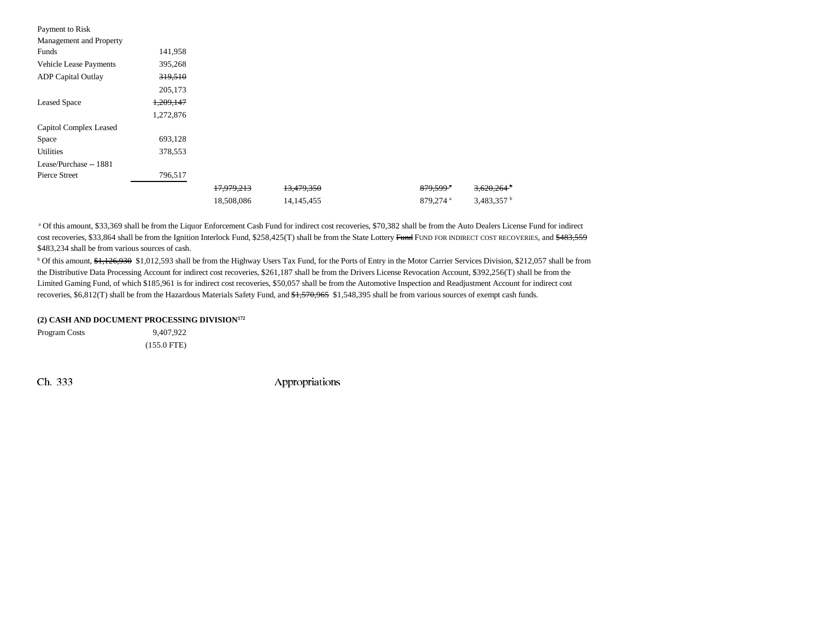| Payment to Risk               |           |            |              |                        |                          |
|-------------------------------|-----------|------------|--------------|------------------------|--------------------------|
| Management and Property       |           |            |              |                        |                          |
| Funds                         | 141,958   |            |              |                        |                          |
| <b>Vehicle Lease Payments</b> | 395,268   |            |              |                        |                          |
| <b>ADP</b> Capital Outlay     | 319,510   |            |              |                        |                          |
|                               | 205,173   |            |              |                        |                          |
| <b>Leased Space</b>           | 1,209,147 |            |              |                        |                          |
|                               | 1,272,876 |            |              |                        |                          |
| Capitol Complex Leased        |           |            |              |                        |                          |
| Space                         | 693,128   |            |              |                        |                          |
| Utilities                     | 378,553   |            |              |                        |                          |
| Lease/Purchase -- 1881        |           |            |              |                        |                          |
| <b>Pierce Street</b>          | 796,517   |            |              |                        |                          |
|                               |           | 17,979,213 | 13,479,350   | $879,599$ <sup>a</sup> | $3,620,264$ <sup>b</sup> |
|                               |           | 18,508,086 | 14, 145, 455 | 879,274 <sup>a</sup>   | 3,483,357 <sup>b</sup>   |

a Of this amount, \$33,369 shall be from the Liquor Enforcement Cash Fund for indirect cost recoveries, \$70,382 shall be from the Auto Dealers License Fund for indirect cost recoveries, \$33,864 shall be from the Ignition Interlock Fund, \$258,425(T) shall be from the State Lottery Fund FUND FOR INDIRECT COST RECOVERIES, and \$483,559 \$483,234 shall be from various sources of cash.

<sup>b</sup> Of this amount, \$1,126,930 \$1,012,593 shall be from the Highway Users Tax Fund, for the Ports of Entry in the Motor Carrier Services Division, \$212,057 shall be from the Distributive Data Processing Account for indirect cost recoveries, \$261,187 shall be from the Drivers License Revocation Account, \$392,256(T) shall be from the Limited Gaming Fund, of which \$185,961 is for indirect cost recoveries, \$50,057 shall be from the Automotive Inspection and Readjustment Account for indirect cost recoveries, \$6,812(T) shall be from the Hazardous Materials Safety Fund, and \$1,570,965 \$1,548,395 shall be from various sources of exempt cash funds.

#### **(2) CASH AND DOCUMENT PROCESSING DIVISION172**

Program Costs 9,407,922 (155.0 FTE)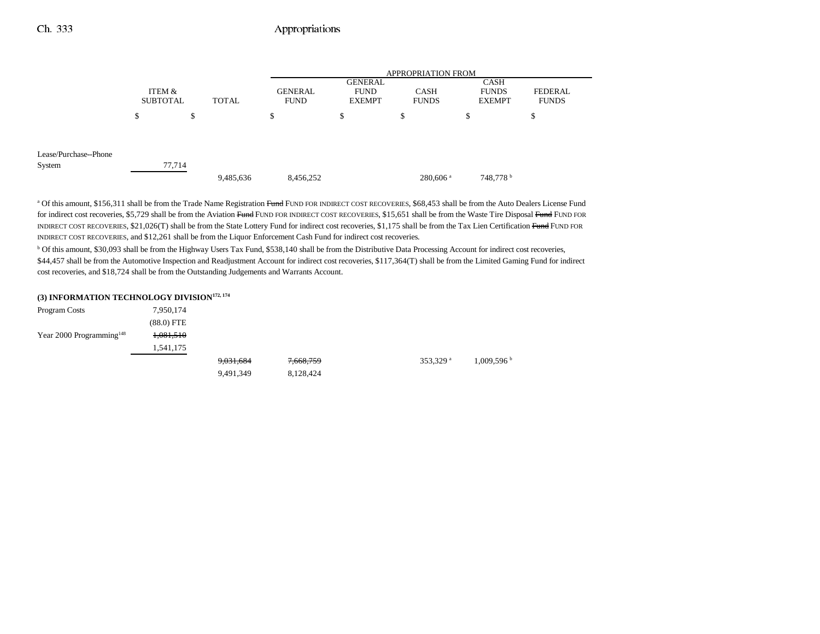|                                 |                           |        |           |                        |                                                | <b>APPROPRIATION FROM</b>   |                                       |                         |
|---------------------------------|---------------------------|--------|-----------|------------------------|------------------------------------------------|-----------------------------|---------------------------------------|-------------------------|
|                                 | ITEM &<br><b>SUBTOTAL</b> |        | TOTAL     | GENERAL<br><b>FUND</b> | <b>GENERAL</b><br><b>FUND</b><br><b>EXEMPT</b> | <b>CASH</b><br><b>FUNDS</b> | CASH<br><b>FUNDS</b><br><b>EXEMPT</b> | FEDERAL<br><b>FUNDS</b> |
|                                 | S                         | \$     |           | \$                     | \$                                             | S                           | \$                                    | ¢<br>Φ                  |
| Lease/Purchase--Phone<br>System |                           | 77,714 |           |                        |                                                |                             |                                       |                         |
|                                 |                           |        | 9,485,636 | 8,456,252              |                                                | 280,606 <sup>a</sup>        | 748,778 <sup>b</sup>                  |                         |

<sup>a</sup> Of this amount, \$156,311 shall be from the Trade Name Registration Fund FUND FOR INDIRECT COST RECOVERIES, \$68,453 shall be from the Auto Dealers License Fund for indirect cost recoveries, \$5,729 shall be from the Aviation Fund FUND FOR INDIRECT COST RECOVERIES, \$15,651 shall be from the Waste Tire Disposal Fund FUND FOR INDIRECT COST RECOVERIES, \$21,026(T) shall be from the State Lottery Fund for indirect cost recoveries, \$1,175 shall be from the Tax Lien Certification Fund FUND FOR INDIRECT COST RECOVERIES, and \$12,261 shall be from the Liquor Enforcement Cash Fund for indirect cost recoveries.

b Of this amount, \$30,093 shall be from the Highway Users Tax Fund, \$538,140 shall be from the Distributive Data Processing Account for indirect cost recoveries, \$44,457 shall be from the Automotive Inspection and Readjustment Account for indirect cost recoveries, \$117,364(T) shall be from the Limited Gaming Fund for indirect cost recoveries, and \$18,724 shall be from the Outstanding Judgements and Warrants Account.

#### **(3) INFORMATION TECHNOLOGY DIVISION172, 174**

| Program Costs               | 7,950,174    |           |           |                      |           |
|-----------------------------|--------------|-----------|-----------|----------------------|-----------|
|                             | $(88.0)$ FTE |           |           |                      |           |
| Year 2000 Programming $148$ | 1,081,510    |           |           |                      |           |
|                             | 1,541,175    |           |           |                      |           |
|                             |              | 9,031,684 | 7,668,759 | 353,329 <sup>a</sup> | 1,009,596 |
|                             |              | 9,491,349 | 8,128,424 |                      |           |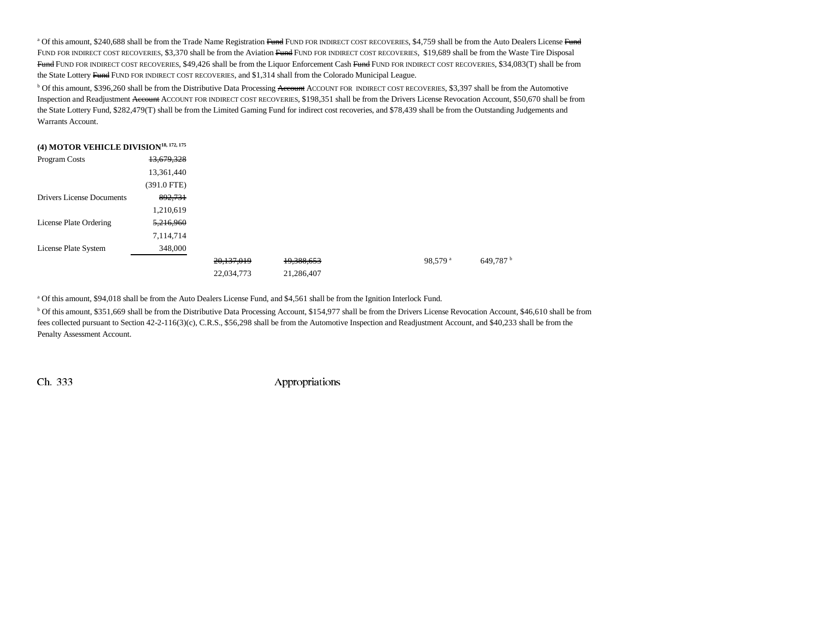<sup>a</sup> Of this amount, \$240,688 shall be from the Trade Name Registration Fund FUND FOR INDIRECT COST RECOVERIES, \$4,759 shall be from the Auto Dealers License Fund Fund for indirect cost recoveries, \$3,370 shall be from the Aviation <del>Fund</del> Fund for indirect cost recoveries, \$19,689 shall be from the Waste Tire Disposal <del>Fund</del> Fund for indirect cost recoveries, \$49,426 shall be from the Liquor Enforcement Cash <del>Fund</del> Fund for nonneect cost recoveries, \$34,083(T) shall be from the State Lottery Fund FUND FOR INDIRECT COST RECOVERIES, and \$1,314 shall from the Colorado Municipal League.

<sup>b</sup> Of this amount, \$396,260 shall be from the Distributive Data Processing <del>Account</del> ACCOUNT FOR INDIRECT COST RECOVERIES, \$3,397 shall be from the Automotive Inspection and Readjustment <del>Account</del> Account for indirect cost recoveries, \$198,351 shall be from the Drivers License Revocation Account, \$50,670 shall be from the State Lottery Fund, \$282,479(T) shall be from the Limited Gaming Fund for indirect cost recoveries, and \$78,439 shall be from the Outstanding Judgements and Warrants Account.

| (4) MOTOR VEHICLE DIVISION <sup>18, 172, 175</sup> |             |            |            |                     |                      |
|----------------------------------------------------|-------------|------------|------------|---------------------|----------------------|
| Program Costs                                      | 13,679,328  |            |            |                     |                      |
|                                                    | 13,361,440  |            |            |                     |                      |
|                                                    | (391.0 FTE) |            |            |                     |                      |
| <b>Drivers License Documents</b>                   | 892,731     |            |            |                     |                      |
|                                                    | 1,210,619   |            |            |                     |                      |
| License Plate Ordering                             | 5,216,960   |            |            |                     |                      |
|                                                    | 7,114,714   |            |            |                     |                      |
| License Plate System                               | 348,000     |            |            |                     |                      |
|                                                    |             | 20,137,019 | 19,388,653 | 98.579 <sup>a</sup> | 649,787 <sup>b</sup> |
|                                                    |             | 22,034,773 | 21,286,407 |                     |                      |

a Of this amount, \$94,018 shall be from the Auto Dealers License Fund, and \$4,561 shall be from the Ignition Interlock Fund.

b Of this amount, \$351,669 shall be from the Distributive Data Processing Account, \$154,977 shall be from the Drivers License Revocation Account, \$46,610 shall be from fees collected pursuant to Section 42-2-116(3)(c), C.R.S., \$56,298 shall be from the Automotive Inspection and Readjustment Account, and \$40,233 shall be from the Penalty Assessment Account.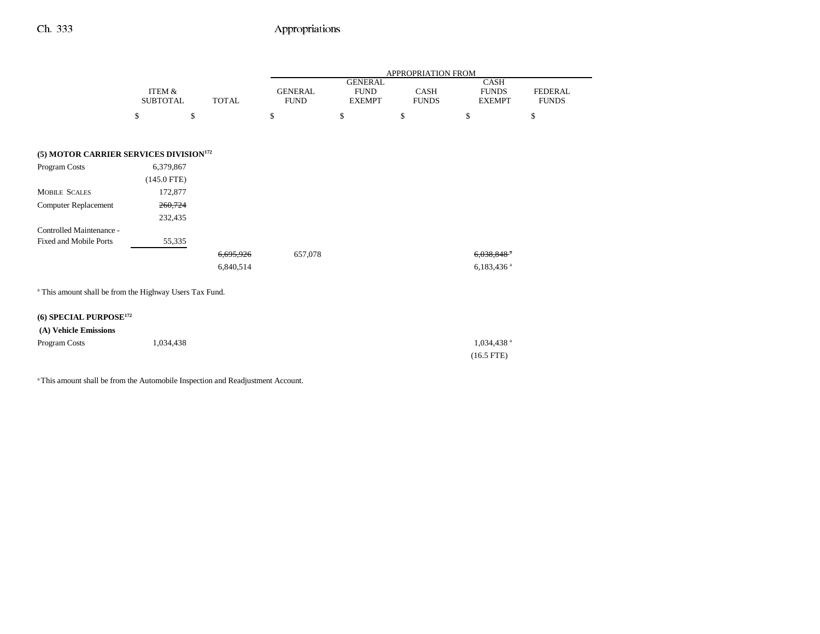|                                                                    |                   |              |                |                               | APPROPRIATION FROM |                             |                |
|--------------------------------------------------------------------|-------------------|--------------|----------------|-------------------------------|--------------------|-----------------------------|----------------|
|                                                                    | <b>ITEM &amp;</b> |              | <b>GENERAL</b> | <b>GENERAL</b><br><b>FUND</b> | CASH               | <b>CASH</b><br><b>FUNDS</b> | <b>FEDERAL</b> |
|                                                                    | <b>SUBTOTAL</b>   | <b>TOTAL</b> | <b>FUND</b>    | <b>EXEMPT</b>                 | <b>FUNDS</b>       | <b>EXEMPT</b>               | <b>FUNDS</b>   |
|                                                                    | \$<br>\$          |              | \$             | \$                            | \$                 | \$                          | \$             |
|                                                                    |                   |              |                |                               |                    |                             |                |
| (5) MOTOR CARRIER SERVICES DIVISION <sup>172</sup>                 |                   |              |                |                               |                    |                             |                |
| Program Costs                                                      | 6,379,867         |              |                |                               |                    |                             |                |
|                                                                    | $(145.0$ FTE)     |              |                |                               |                    |                             |                |
| <b>MOBILE SCALES</b>                                               | 172,877           |              |                |                               |                    |                             |                |
| Computer Replacement                                               | 260,724           |              |                |                               |                    |                             |                |
|                                                                    | 232,435           |              |                |                               |                    |                             |                |
| Controlled Maintenance -                                           |                   |              |                |                               |                    |                             |                |
| Fixed and Mobile Ports                                             | 55,335            |              |                |                               |                    |                             |                |
|                                                                    |                   | 6,695,926    | 657,078        |                               |                    | $6,038,848$ <sup>a</sup>    |                |
|                                                                    |                   | 6,840,514    |                |                               |                    | $6,183,436$ <sup>a</sup>    |                |
| <sup>a</sup> This amount shall be from the Highway Users Tax Fund. |                   |              |                |                               |                    |                             |                |
| (6) SPECIAL PURPOSE <sup>172</sup>                                 |                   |              |                |                               |                    |                             |                |
| (A) Vehicle Emissions                                              |                   |              |                |                               |                    |                             |                |
| Program Costs                                                      | 1,034,438         |              |                |                               |                    | 1,034,438 <sup>a</sup>      |                |
|                                                                    |                   |              |                |                               |                    | $(16.5$ FTE)                |                |
|                                                                    |                   |              |                |                               |                    |                             |                |

<sup>a</sup> This amount shall be from the Automobile Inspection and Readjustment Account.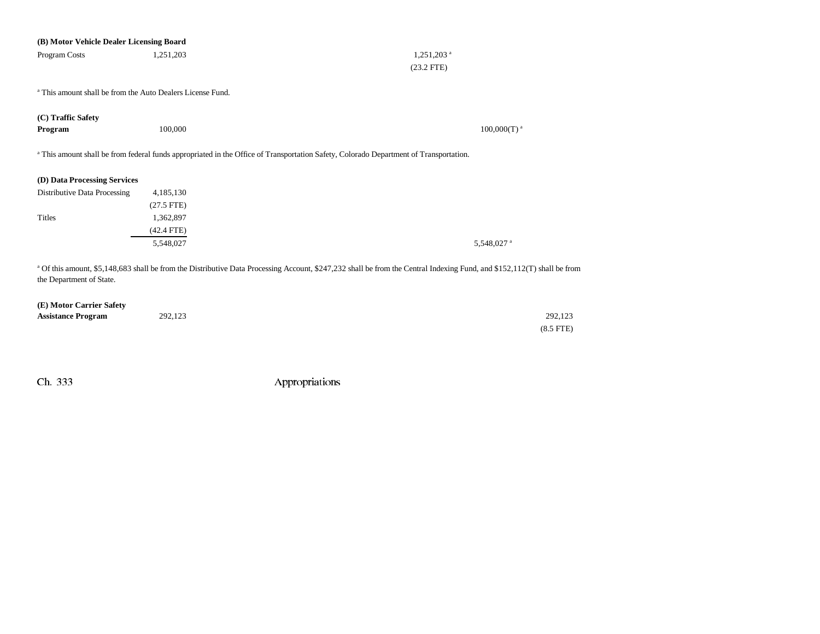| (B) Motor Vehicle Dealer Licensing Board                              |              |                                                                                                                                                                                    |
|-----------------------------------------------------------------------|--------------|------------------------------------------------------------------------------------------------------------------------------------------------------------------------------------|
| Program Costs                                                         | 1,251,203    | $1,251,203$ <sup>a</sup>                                                                                                                                                           |
|                                                                       |              | $(23.2$ FTE)                                                                                                                                                                       |
| <sup>a</sup> This amount shall be from the Auto Dealers License Fund. |              |                                                                                                                                                                                    |
| (C) Traffic Safety                                                    |              |                                                                                                                                                                                    |
| Program                                                               | 100,000      | $100,000(T)$ <sup>a</sup>                                                                                                                                                          |
|                                                                       |              | a This amount shall be from federal funds appropriated in the Office of Transportation Safety, Colorado Department of Transportation.                                              |
| (D) Data Processing Services                                          |              |                                                                                                                                                                                    |
| Distributive Data Processing                                          | 4,185,130    |                                                                                                                                                                                    |
|                                                                       | $(27.5$ FTE) |                                                                                                                                                                                    |
| Titles                                                                | 1,362,897    |                                                                                                                                                                                    |
|                                                                       | $(42.4$ FTE) |                                                                                                                                                                                    |
|                                                                       | 5,548,027    | 5,548,027 <sup>a</sup>                                                                                                                                                             |
|                                                                       |              | <sup>a</sup> Of this amount, \$5,148,683 shall be from the Distributive Data Processing Account, \$247,232 shall be from the Central Indexing Fund, and \$152,112(T) shall be from |
| the Department of State.                                              |              |                                                                                                                                                                                    |
| (E) Motor Carrier Safety                                              |              |                                                                                                                                                                                    |
| <b>Assistance Program</b>                                             | 292,123      | 292,123                                                                                                                                                                            |

(8.5 FTE)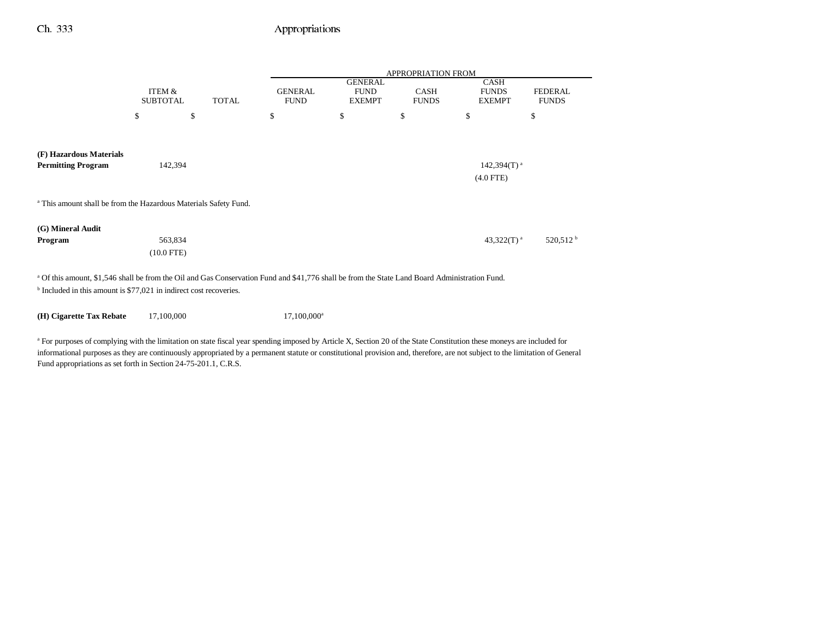|                                                                                                                                                                                                                                                                                                                                                                   |                           |              |                               |                                                | <b>APPROPRIATION FROM</b>   |                                              |                                |
|-------------------------------------------------------------------------------------------------------------------------------------------------------------------------------------------------------------------------------------------------------------------------------------------------------------------------------------------------------------------|---------------------------|--------------|-------------------------------|------------------------------------------------|-----------------------------|----------------------------------------------|--------------------------------|
|                                                                                                                                                                                                                                                                                                                                                                   | ITEM &<br><b>SUBTOTAL</b> | <b>TOTAL</b> | <b>GENERAL</b><br><b>FUND</b> | <b>GENERAL</b><br><b>FUND</b><br><b>EXEMPT</b> | <b>CASH</b><br><b>FUNDS</b> | <b>CASH</b><br><b>FUNDS</b><br><b>EXEMPT</b> | <b>FEDERAL</b><br><b>FUNDS</b> |
|                                                                                                                                                                                                                                                                                                                                                                   | \$                        | \$           | \$                            | $\mathbb{S}$                                   | \$                          | \$                                           | \$                             |
|                                                                                                                                                                                                                                                                                                                                                                   |                           |              |                               |                                                |                             |                                              |                                |
| (F) Hazardous Materials<br><b>Permitting Program</b>                                                                                                                                                                                                                                                                                                              | 142,394                   |              |                               |                                                |                             | $142,394(T)$ <sup>a</sup>                    |                                |
|                                                                                                                                                                                                                                                                                                                                                                   |                           |              |                               |                                                |                             | $(4.0$ FTE)                                  |                                |
| <sup>a</sup> This amount shall be from the Hazardous Materials Safety Fund.                                                                                                                                                                                                                                                                                       |                           |              |                               |                                                |                             |                                              |                                |
| (G) Mineral Audit                                                                                                                                                                                                                                                                                                                                                 |                           |              |                               |                                                |                             |                                              |                                |
| Program                                                                                                                                                                                                                                                                                                                                                           | 563,834<br>$(10.0$ FTE)   |              |                               |                                                |                             | 43,322 $(T)$ <sup>a</sup>                    | 520,512 <sup>b</sup>           |
| <sup>a</sup> Of this amount, \$1,546 shall be from the Oil and Gas Conservation Fund and \$41,776 shall be from the State Land Board Administration Fund.                                                                                                                                                                                                         |                           |              |                               |                                                |                             |                                              |                                |
| <sup>b</sup> Included in this amount is \$77,021 in indirect cost recoveries.                                                                                                                                                                                                                                                                                     |                           |              |                               |                                                |                             |                                              |                                |
| (H) Cigarette Tax Rebate                                                                                                                                                                                                                                                                                                                                          | 17,100,000                |              | 17,100,000 <sup>a</sup>       |                                                |                             |                                              |                                |
| <sup>a</sup> For purposes of complying with the limitation on state fiscal year spending imposed by Article X, Section 20 of the State Constitution these moneys are included for<br>informational purposes as they are continuously appropriated by a permanent statute or constitutional provision and, therefore, are not subject to the limitation of General |                           |              |                               |                                                |                             |                                              |                                |

Fund appropriations as set forth in Section 24-75-201.1, C.R.S.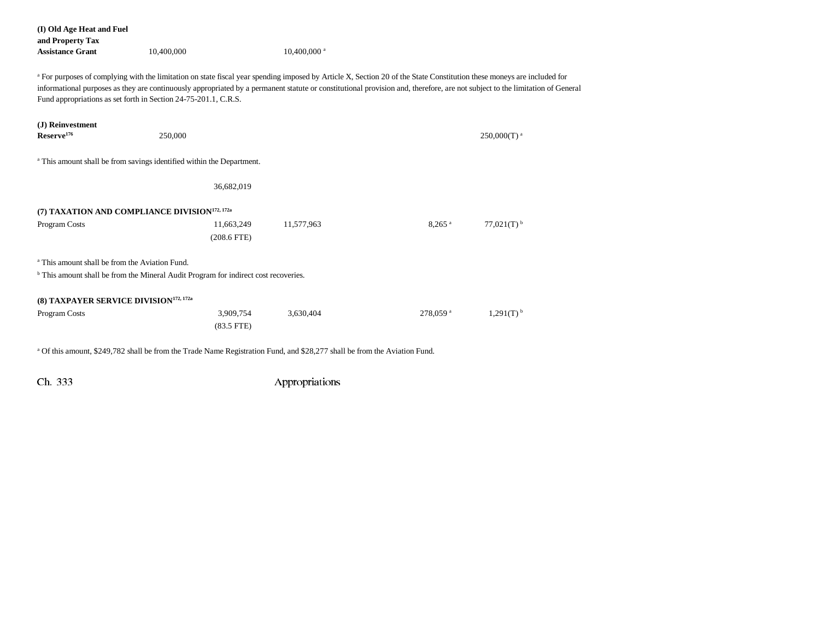| (I) Old Age Heat and Fuel<br>and Property Tax<br><b>Assistance Grant</b>                                                                                                                                                                                                                                                                                                                                                             | 10,400,000                  | $10,400,000$ <sup>a</sup> |                      |                           |
|--------------------------------------------------------------------------------------------------------------------------------------------------------------------------------------------------------------------------------------------------------------------------------------------------------------------------------------------------------------------------------------------------------------------------------------|-----------------------------|---------------------------|----------------------|---------------------------|
| <sup>a</sup> For purposes of complying with the limitation on state fiscal year spending imposed by Article X, Section 20 of the State Constitution these moneys are included for<br>informational purposes as they are continuously appropriated by a permanent statute or constitutional provision and, therefore, are not subject to the limitation of General<br>Fund appropriations as set forth in Section 24-75-201.1, C.R.S. |                             |                           |                      |                           |
| (J) Reinvestment<br>Reserve <sup>176</sup>                                                                                                                                                                                                                                                                                                                                                                                           | 250,000                     |                           |                      | $250,000(T)$ <sup>a</sup> |
| <sup>a</sup> This amount shall be from savings identified within the Department.                                                                                                                                                                                                                                                                                                                                                     |                             |                           |                      |                           |
|                                                                                                                                                                                                                                                                                                                                                                                                                                      | 36,682,019                  |                           |                      |                           |
| (7) TAXATION AND COMPLIANCE DIVISION <sup>172, 172a</sup>                                                                                                                                                                                                                                                                                                                                                                            |                             |                           |                      |                           |
| Program Costs                                                                                                                                                                                                                                                                                                                                                                                                                        | 11,663,249<br>$(208.6$ FTE) | 11,577,963                | $8.265$ <sup>a</sup> | $77,021(T)$ <sup>b</sup>  |
| <sup>a</sup> This amount shall be from the Aviation Fund.                                                                                                                                                                                                                                                                                                                                                                            |                             |                           |                      |                           |
| <sup>b</sup> This amount shall be from the Mineral Audit Program for indirect cost recoveries.                                                                                                                                                                                                                                                                                                                                       |                             |                           |                      |                           |
| (8) TAXPAYER SERVICE DIVISION <sup>172, 172a</sup>                                                                                                                                                                                                                                                                                                                                                                                   |                             |                           |                      |                           |
| Program Costs                                                                                                                                                                                                                                                                                                                                                                                                                        | 3,909,754<br>$(83.5$ FTE)   | 3,630,404                 | 278,059 <sup>a</sup> | $1,291(T)$ <sup>b</sup>   |

<sup>a</sup> Of this amount, \$249,782 shall be from the Trade Name Registration Fund, and \$28,277 shall be from the Aviation Fund.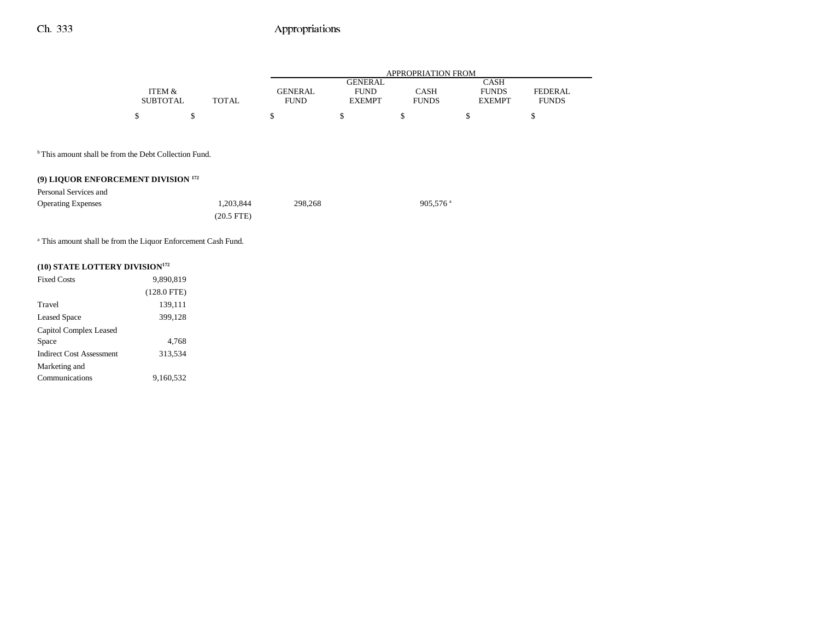|                 |              |                | APPROPRIATION FROM |              |               |              |  |  |  |
|-----------------|--------------|----------------|--------------------|--------------|---------------|--------------|--|--|--|
|                 |              |                | GENERAL            |              | CASH          |              |  |  |  |
| ITEM &          |              | <b>GENERAL</b> | <b>FUND</b>        | CASH         | <b>FUNDS</b>  | FEDERAL.     |  |  |  |
| <b>SUBTOTAL</b> | <b>TOTAL</b> | <b>FUND</b>    | <b>EXEMPT</b>      | <b>FUNDS</b> | <b>EXEMPT</b> | <b>FUNDS</b> |  |  |  |
|                 |              |                |                    |              |               |              |  |  |  |

<sup>b</sup> This amount shall be from the Debt Collection Fund.

### **(9) LIQUOR ENFORCEMENT DIVISION 172**

| Personal Services and     |              |         |                        |
|---------------------------|--------------|---------|------------------------|
| <b>Operating Expenses</b> | 1.203.844    | 298.268 | $905.576$ <sup>a</sup> |
|                           | $(20.5$ FTE) |         |                        |

a This amount shall be from the Liquor Enforcement Cash Fund.

# **(10) STATE LOTTERY DIVISION172**

| <b>Fixed Costs</b>              | 9,890,819     |
|---------------------------------|---------------|
|                                 | $(128.0$ FTE) |
| Travel                          | 139,111       |
| <b>Leased Space</b>             | 399,128       |
| Capitol Complex Leased          |               |
| Space                           | 4.768         |
| <b>Indirect Cost Assessment</b> | 313.534       |
| Marketing and                   |               |
| Communications                  | 9.160.532     |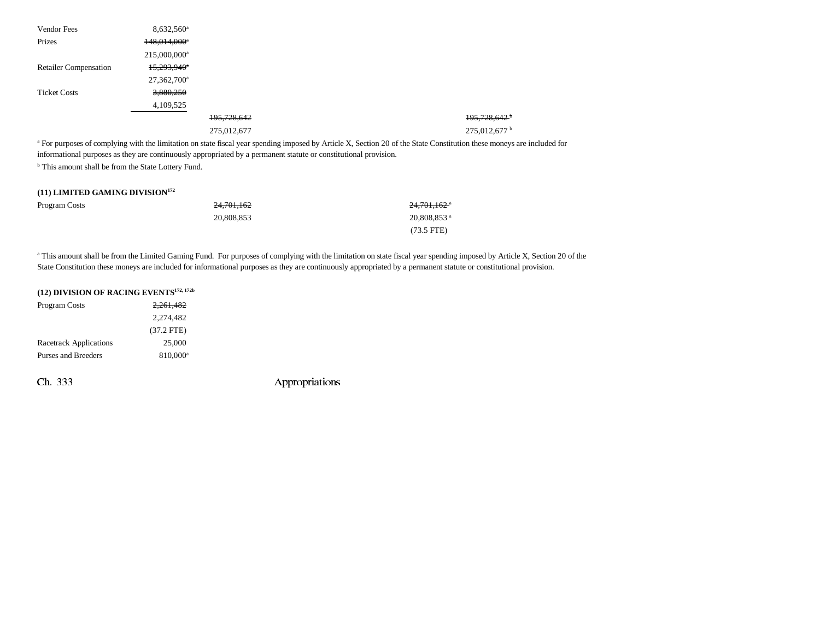| Vendor Fees                  | $8,632,560$ <sup>a</sup> |             |                            |
|------------------------------|--------------------------|-------------|----------------------------|
| Prizes                       | 148,014,000*             |             |                            |
|                              | 215,000,000 <sup>a</sup> |             |                            |
| <b>Retailer Compensation</b> | 15,293,940 <sup>*</sup>  |             |                            |
|                              | 27,362,700 <sup>a</sup>  |             |                            |
| <b>Ticket Costs</b>          | 3,880,250                |             |                            |
|                              | 4,109,525                |             |                            |
|                              |                          | 195,728,642 | $195,728,642$ <sup>b</sup> |
|                              |                          | 275,012,677 | 275,012,677 <sup>b</sup>   |

<sup>a</sup> For purposes of complying with the limitation on state fiscal year spending imposed by Article X, Section 20 of the State Constitution these moneys are included for informational purposes as they are continuously appropriated by a permanent statute or constitutional provision. <sup>b</sup> This amount shall be from the State Lottery Fund.

#### **(11) LIMITED GAMING DIVISION172**

| Program Costs | 24.701.162 | 2 <del>4,701,162</del> * |
|---------------|------------|--------------------------|
|               | 20.808.853 | 20,808,853 ª             |
|               |            | $(73.5 \text{ FTE})$     |

<sup>a</sup> This amount shall be from the Limited Gaming Fund. For purposes of complying with the limitation on state fiscal year spending imposed by Article X, Section 20 of the State Constitution these moneys are included for informational purposes as they are continuously appropriated by a permanent statute or constitutional provision.

| (12) DIVISION OF RACING EVENTS <sup>172, 172b</sup> |                      |  |  |  |  |
|-----------------------------------------------------|----------------------|--|--|--|--|
| <b>Program Costs</b>                                | 2,261,482            |  |  |  |  |
|                                                     | 2,274,482            |  |  |  |  |
|                                                     | $(37.2$ FTE)         |  |  |  |  |
| <b>Racetrack Applications</b>                       | 25,000               |  |  |  |  |
| Purses and Breeders                                 | 810,000 <sup>a</sup> |  |  |  |  |
|                                                     |                      |  |  |  |  |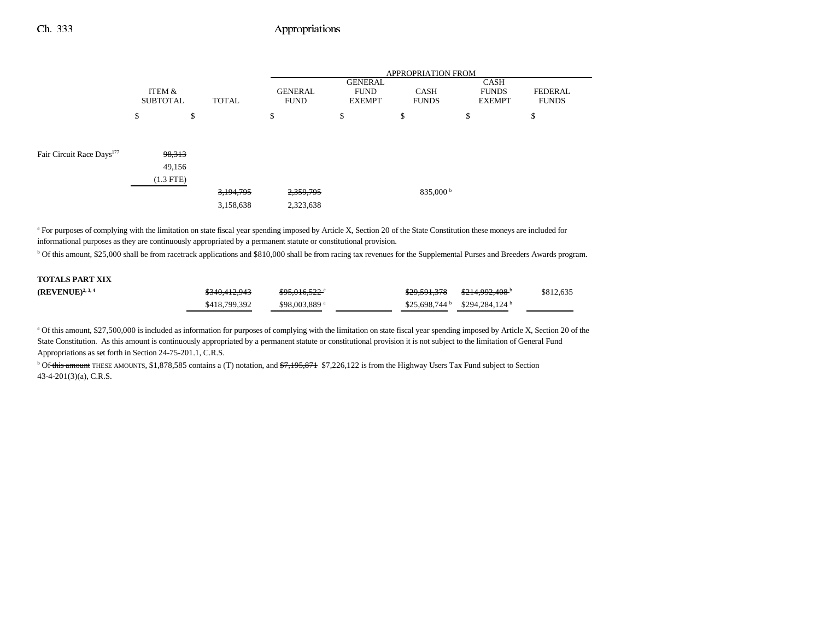|                                       |                           |              |                               | APPROPRIATION FROM                             |                             |                                       |                                |  |
|---------------------------------------|---------------------------|--------------|-------------------------------|------------------------------------------------|-----------------------------|---------------------------------------|--------------------------------|--|
|                                       | ITEM &<br><b>SUBTOTAL</b> | <b>TOTAL</b> | <b>GENERAL</b><br><b>FUND</b> | <b>GENERAL</b><br><b>FUND</b><br><b>EXEMPT</b> | <b>CASH</b><br><b>FUNDS</b> | CASH<br><b>FUNDS</b><br><b>EXEMPT</b> | <b>FEDERAL</b><br><b>FUNDS</b> |  |
|                                       | \$                        | \$           | \$                            | \$                                             | \$                          | ¢<br>Φ                                | \$                             |  |
|                                       |                           |              |                               |                                                |                             |                                       |                                |  |
| Fair Circuit Race Days <sup>177</sup> | 98,313                    |              |                               |                                                |                             |                                       |                                |  |
|                                       | 49,156                    |              |                               |                                                |                             |                                       |                                |  |
|                                       | $(1.3$ FTE $)$            |              |                               |                                                |                             |                                       |                                |  |
|                                       |                           | 3,194,795    | 2,359,795                     |                                                | 835,000 $^{\rm b}$          |                                       |                                |  |
|                                       |                           | 3,158,638    | 2,323,638                     |                                                |                             |                                       |                                |  |

<sup>a</sup> For purposes of complying with the limitation on state fiscal year spending imposed by Article X, Section 20 of the State Constitution these moneys are included for informational purposes as they are continuously appropriated by a permanent statute or constitutional provision.

b Of this amount, \$25,000 shall be from racetrack applications and \$810,000 shall be from racing tax revenues for the Supplemental Purses and Breeders Awards program.

| <b>TOTALS PART XIX</b> |               |                           |              |                                              |           |
|------------------------|---------------|---------------------------|--------------|----------------------------------------------|-----------|
| $(REVENUE)^{2,3,4}$    | \$340,412,943 | <del>\$95,016,522</del> * | \$29,591,378 | <del>\$214,992,408</del>                     | \$812,635 |
|                        | \$418,799,392 | \$98,003,889 <sup>a</sup> |              | $$25.698.744^{\circ}$ $$294.284.124^{\circ}$ |           |

a Of this amount, \$27,500,000 is included as information for purposes of complying with the limitation on state fiscal year spending imposed by Article X, Section 20 of the State Constitution. As this amount is continuously appropriated by a permanent statute or constitutional provision it is not subject to the limitation of General Fund Appropriations as set forth in Section 24-75-201.1, C.R.S.

<sup>b</sup> Of this amount THESE AMOUNTS, \$1,878,585 contains a (T) notation, and <del>\$7,195,871</del> \$7,226,122 is from the Highway Users Tax Fund subject to Section 43-4-201(3)(a), C.R.S.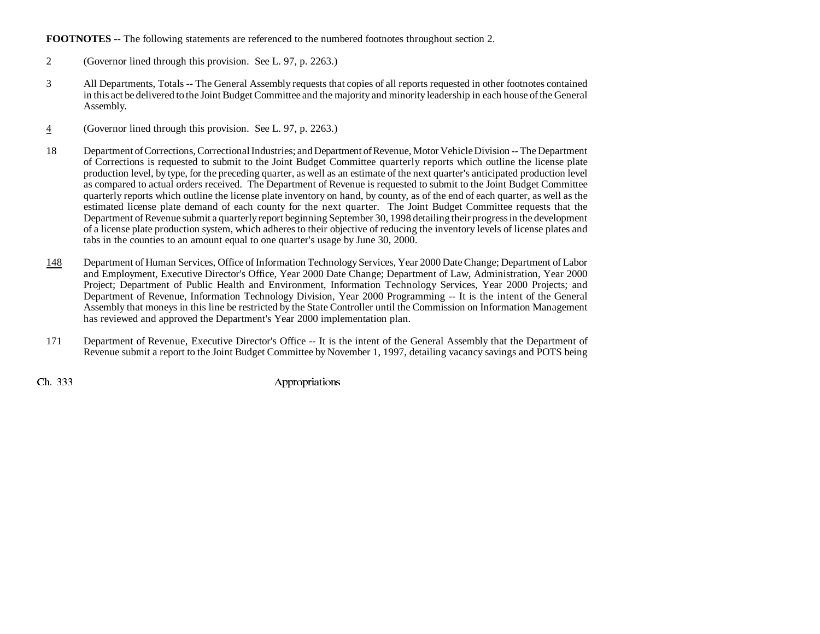#### **FOOTNOTES** -- The following statements are referenced to the numbered footnotes throughout section 2.

- 2 (Governor lined through this provision. See L. 97, p. 2263.)
- 3 All Departments, Totals -- The General Assembly requests that copies of all reports requested in other footnotes contained in this act be delivered to the Joint Budget Committee and the majority and minority leadership in each house of the General Assembly.
- 4(Governor lined through this provision. See L. 97, p. 2263.)
- 18 Department of Corrections, Correctional Industries; and Department of Revenue, Motor Vehicle Division **--** The Department of Corrections is requested to submit to the Joint Budget Committee quarterly reports which outline the license plate production level, by type, for the preceding quarter, as well as an estimate of the next quarter's anticipated production level as compared to actual orders received. The Department of Revenue is requested to submit to the Joint Budget Committee quarterly reports which outline the license plate inventory on hand, by county, as of the end of each quarter, as well as the estimated license plate demand of each county for the next quarter. The Joint Budget Committee requests that the Department of Revenue submit a quarterly report beginning September 30, 1998 detailing their progress in the development of a license plate production system, which adheres to their objective of reducing the inventory levels of license plates and tabs in the counties to an amount equal to one quarter's usage by June 30, 2000.
- 148 Department of Human Services, Office of Information Technology Services, Year 2000 Date Change; Department of Labor and Employment, Executive Director's Office, Year 2000 Date Change; Department of Law, Administration, Year 2000 Project; Department of Public Health and Environment, Information Technology Services, Year 2000 Projects; and Department of Revenue, Information Technology Division, Year 2000 Programming -- It is the intent of the General Assembly that moneys in this line be restricted by the State Controller until the Commission on Information Management has reviewed and approved the Department's Year 2000 implementation plan.
- 171 Department of Revenue, Executive Director's Office -- It is the intent of the General Assembly that the Department of Revenue submit a report to the Joint Budget Committee by November 1, 1997, detailing vacancy savings and POTS being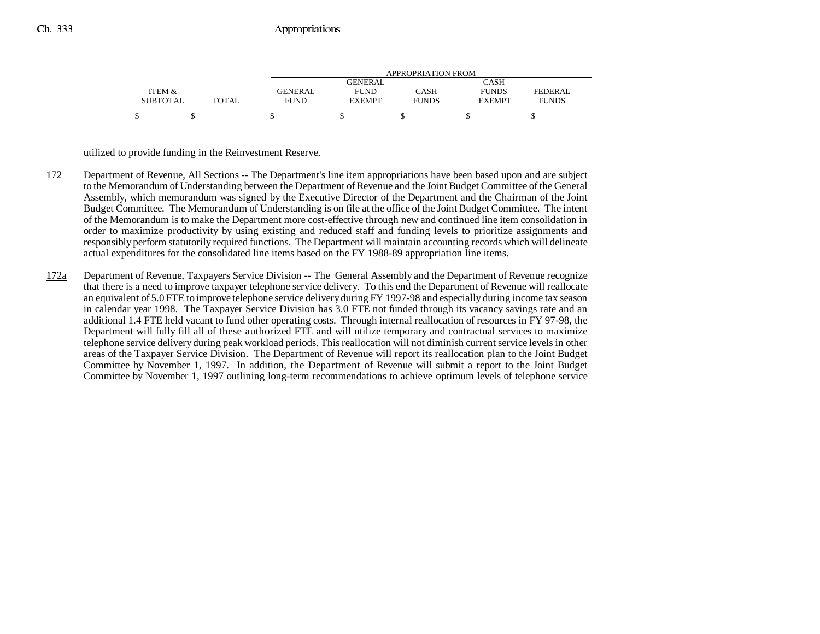|                 |              |                | <b>APPROPRIATION FROM</b> |              |               |                |  |  |
|-----------------|--------------|----------------|---------------------------|--------------|---------------|----------------|--|--|
|                 |              |                | <b>GENERAL</b>            |              | CASH          |                |  |  |
| ITEM &          |              | <b>GENERAL</b> | <b>FUND</b>               | CASH         | <b>FUNDS</b>  | <b>FEDERAL</b> |  |  |
| <b>SUBTOTAL</b> | <b>TOTAL</b> | FUND           | <b>EXEMPT</b>             | <b>FUNDS</b> | <b>EXEMPT</b> | <b>FUNDS</b>   |  |  |
| ¢               |              |                |                           |              |               |                |  |  |

utilized to provide funding in the Reinvestment Reserve.

- 172 Department of Revenue, All Sections -- The Department's line item appropriations have been based upon and are subject to the Memorandum of Understanding between the Department of Revenue and the Joint Budget Committee of the General Assembly, which memorandum was signed by the Executive Director of the Department and the Chairman of the Joint Budget Committee. The Memorandum of Understanding is on file at the office of the Joint Budget Committee. The intent of the Memorandum is to make the Department more cost-effective through new and continued line item consolidation in order to maximize productivity by using existing and reduced staff and funding levels to prioritize assignments and responsibly perform statutorily required functions. The Department will maintain accounting records which will delineate actual expenditures for the consolidated line items based on the FY 1988-89 appropriation line items.
- 172a Department of Revenue, Taxpayers Service Division -- The General Assembly and the Department of Revenue recognize that there is a need to improve taxpayer telephone service delivery. To this end the Department of Revenue will reallocate an equivalent of 5.0 FTE to improve telephone service delivery during FY 1997-98 and especially during income tax season in calendar year 1998. The Taxpayer Service Division has 3.0 FTE not funded through its vacancy savings rate and an additional 1.4 FTE held vacant to fund other operating costs. Through internal reallocation of resources in FY 97-98, the Department will fully fill all of these authorized FTE and will utilize temporary and contractual services to maximize telephone service delivery during peak workload periods. This reallocation will not diminish current service levels in other areas of the Taxpayer Service Division. The Department of Revenue will report its reallocation plan to the Joint Budget Committee by November 1, 1997. In addition, the Department of Revenue will submit a report to the Joint Budget Committee by November 1, 1997 outlining long-term recommendations to achieve optimum levels of telephone service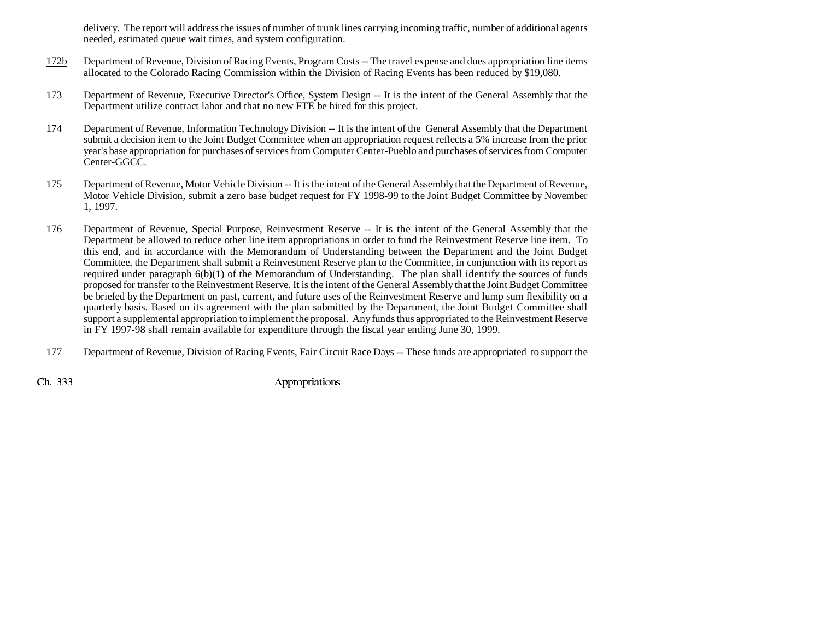delivery. The report will address the issues of number of trunk lines carrying incoming traffic, number of additional agents needed, estimated queue wait times, and system configuration.

- $172<sub>b</sub>$  Department of Revenue, Division of Racing Events, Program Costs -- The travel expense and dues appropriation line items allocated to the Colorado Racing Commission within the Division of Racing Events has been reduced by \$19,080.
- 173 Department of Revenue, Executive Director's Office, System Design -- It is the intent of the General Assembly that the Department utilize contract labor and that no new FTE be hired for this project.
- 174 Department of Revenue, Information Technology Division -- It is the intent of the General Assembly that the Department submit a decision item to the Joint Budget Committee when an appropriation request reflects a 5% increase from the prior year's base appropriation for purchases of services from Computer Center-Pueblo and purchases of services from Computer Center-GGCC.
- 175 Department of Revenue, Motor Vehicle Division -- It is the intent of the General Assembly that the Department of Revenue, Motor Vehicle Division, submit a zero base budget request for FY 1998-99 to the Joint Budget Committee by November 1, 1997.
- 176 Department of Revenue, Special Purpose, Reinvestment Reserve -- It is the intent of the General Assembly that the Department be allowed to reduce other line item appropriations in order to fund the Reinvestment Reserve line item. To this end, and in accordance with the Memorandum of Understanding between the Department and the Joint Budget Committee, the Department shall submit a Reinvestment Reserve plan to the Committee, in conjunction with its report as required under paragraph 6(b)(1) of the Memorandum of Understanding. The plan shall identify the sources of funds proposed for transfer to the Reinvestment Reserve. It is the intent of the General Assembly that the Joint Budget Committee be briefed by the Department on past, current, and future uses of the Reinvestment Reserve and lump sum flexibility on a quarterly basis. Based on its agreement with the plan submitted by the Department, the Joint Budget Committee shall support a supplemental appropriation to implement the proposal. Any funds thus appropriated to the Reinvestment Reserve in FY 1997-98 shall remain available for expenditure through the fiscal year ending June 30, 1999.
- 177 Department of Revenue, Division of Racing Events, Fair Circuit Race Days -- These funds are appropriated to support the